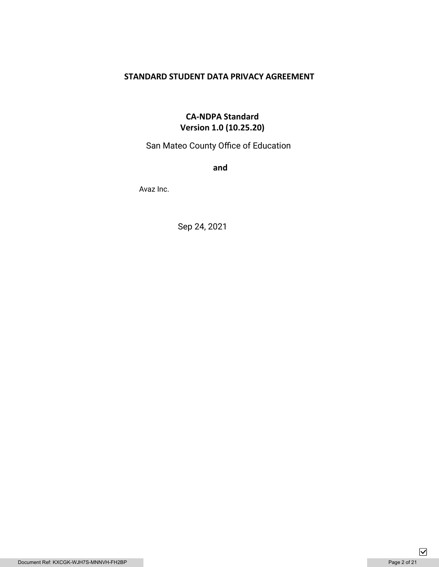# **STANDARD STUDENT DATA PRIVACY AGREEMENT**

# **CA-NDPA Standard Version 1.0 (10.25.20)**

San Mateo County Office of Education

**and** 

Avaz Inc.

Sep 24, 2021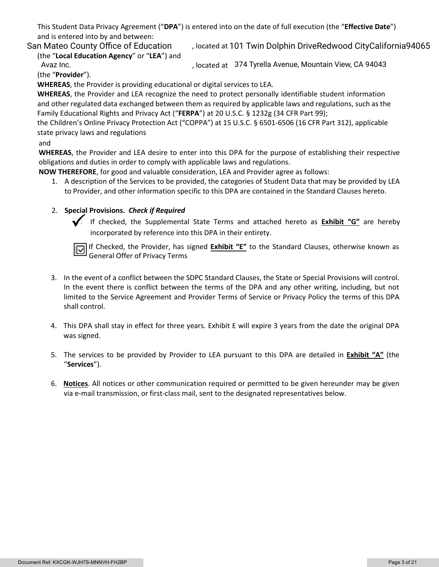This Student Data Privacy Agreement ("**DPA**") is entered into on the date of full execution (the "**Effective Date**") and is entered into by and between:

(the "**Local Education Agency**" or "**LEA**") and

San Mateo County Office of Education *Jocated at 101 Twin Dolphin DriveRedwood CityCalifornia94065* 

, located at Avaz Inc. 374 Tyrella Avenue, Mountain View, CA 94043

(the "**Provider**").

**WHEREAS**, the Provider is providing educational or digital services to LEA.

**WHEREAS**, the Provider and LEA recognize the need to protect personally identifiable student information and other regulated data exchanged between them as required by applicable laws and regulations, such as the Family Educational Rights and Privacy Act ("**FERPA**") at 20 U.S.C. § 1232g (34 CFR Part 99);

the Children's Online Privacy Protection Act ("COPPA") at 15 U.S.C. § 6501-6506 (16 CFR Part 312), applicable state privacy laws and regulations

### and

**WHEREAS**, the Provider and LEA desire to enter into this DPA for the purpose of establishing their respective obligations and duties in order to comply with applicable laws and regulations.

**NOW THEREFORE**, for good and valuable consideration, LEA and Provider agree as follows:

1. A description of the Services to be provided, the categories of Student Data that may be provided by LEA to Provider, and other information specific to this DPA are contained in the Standard Clauses hereto.

# 2. **Special Provisions.** *Check if Required*

 If checked, the Supplemental State Terms and attached hereto as **Exhibit "G"** are hereby incorporated by reference into this DPA in their entirety.

If Checked, the Provider, has signed **Exhibit "E"** to the Standard Clauses, otherwise known as General Offer of Privacy Terms

- 3. In the event of a conflict between the SDPC Standard Clauses, the State or Special Provisions will control. In the event there is conflict between the terms of the DPA and any other writing, including, but not limited to the Service Agreement and Provider Terms of Service or Privacy Policy the terms of this DPA shall control.
- 4. This DPA shall stay in effect for three years. Exhibit E will expire 3 years from the date the original DPA was signed.
- 5. The services to be provided by Provider to LEA pursuant to this DPA are detailed in **Exhibit "A"** (the "**Services**").
- 6. **Notices**. All notices or other communication required or permitted to be given hereunder may be given via e-mail transmission, or first-class mail, sent to the designated representatives below.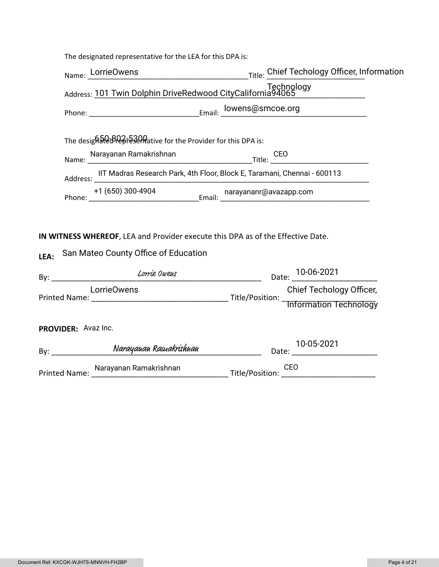|                                                                  | The designated representative for the LEA for this DPA is:               |                                                                                                                                                                                                                                |  |                                                               |  |
|------------------------------------------------------------------|--------------------------------------------------------------------------|--------------------------------------------------------------------------------------------------------------------------------------------------------------------------------------------------------------------------------|--|---------------------------------------------------------------|--|
|                                                                  |                                                                          |                                                                                                                                                                                                                                |  | Name: LorrieOwens Title: Chief Techology Officer, Information |  |
|                                                                  | Technology<br>Address: 101 Twin Dolphin DriveRedwood CityCalifornia94065 |                                                                                                                                                                                                                                |  |                                                               |  |
|                                                                  |                                                                          |                                                                                                                                                                                                                                |  |                                                               |  |
| The desighale BRe Fast Meative for the Provider for this DPA is: |                                                                          |                                                                                                                                                                                                                                |  |                                                               |  |
|                                                                  |                                                                          | Name: Narayanan Ramakrishnan Manne: 200 CEO CEO CEO COMPONER CEO CEO COMPONER CEO COMPONER CEO COMPONER CEO COMPONER CEO COMPONER CEO COMPONER CEO COMPONER CEO COMPONER CEO COMPONER CEO COMPONER CEO COMPONER CEO COMPONER C |  |                                                               |  |
|                                                                  |                                                                          | Address: IIT Madras Research Park, 4th Floor, Block E, Taramani, Chennai - 600113                                                                                                                                              |  |                                                               |  |
|                                                                  |                                                                          |                                                                                                                                                                                                                                |  |                                                               |  |
| LEA:                                                             |                                                                          | IN WITNESS WHEREOF, LEA and Provider execute this DPA as of the Effective Date.<br>San Mateo County Office of Education                                                                                                        |  |                                                               |  |
|                                                                  |                                                                          | orrie Owens                                                                                                                                                                                                                    |  | Date: 10-06-2021                                              |  |
|                                                                  |                                                                          | <b>LorrieOwens</b>                                                                                                                                                                                                             |  |                                                               |  |
|                                                                  | PROVIDER: Avaz Inc.                                                      |                                                                                                                                                                                                                                |  |                                                               |  |
|                                                                  |                                                                          | By: Narayauau Rawakrishuau Date: 10-05-2021                                                                                                                                                                                    |  | 10-05-2021                                                    |  |
|                                                                  |                                                                          | Printed Name: Marayanan Ramakrishnan Manusculin Title/Position: CEO CONDITION: Manusculin Manusculin Manusculi                                                                                                                 |  |                                                               |  |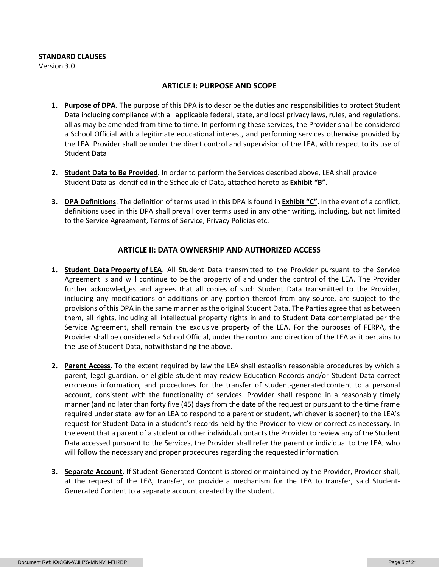#### **STANDARD CLAUSES**

Version 3.0

#### **ARTICLE I: PURPOSE AND SCOPE**

- **1. Purpose of DPA**. The purpose of this DPA is to describe the duties and responsibilities to protect Student Data including compliance with all applicable federal, state, and local privacy laws, rules, and regulations, all as may be amended from time to time. In performing these services, the Provider shall be considered a School Official with a legitimate educational interest, and performing services otherwise provided by the LEA. Provider shall be under the direct control and supervision of the LEA, with respect to its use of Student Data
- **2. Student Data to Be Provided**. In order to perform the Services described above, LEA shall provide Student Data as identified in the Schedule of Data, attached hereto as **Exhibit "B"**.
- **3. DPA Definitions**. The definition of terms used in this DPA is found in **Exhibit "C".** In the event of a conflict, definitions used in this DPA shall prevail over terms used in any other writing, including, but not limited to the Service Agreement, Terms of Service, Privacy Policies etc.

### **ARTICLE II: DATA OWNERSHIP AND AUTHORIZED ACCESS**

- **1. Student Data Property of LEA**. All Student Data transmitted to the Provider pursuant to the Service Agreement is and will continue to be the property of and under the control of the LEA. The Provider further acknowledges and agrees that all copies of such Student Data transmitted to the Provider, including any modifications or additions or any portion thereof from any source, are subject to the provisions of this DPA in the same manner as the original Student Data. The Parties agree that as between them, all rights, including all intellectual property rights in and to Student Data contemplated per the Service Agreement, shall remain the exclusive property of the LEA. For the purposes of FERPA, the Provider shall be considered a School Official, under the control and direction of the LEA as it pertains to the use of Student Data, notwithstanding the above.
- **2. Parent Access**. To the extent required by law the LEA shall establish reasonable procedures by which a parent, legal guardian, or eligible student may review Education Records and/or Student Data correct erroneous information, and procedures for the transfer of student-generated content to a personal account, consistent with the functionality of services. Provider shall respond in a reasonably timely manner (and no later than forty five (45) days from the date of the request or pursuant to the time frame required under state law for an LEA to respond to a parent or student, whichever is sooner) to the LEA's request for Student Data in a student's records held by the Provider to view or correct as necessary. In the event that a parent of a student or other individual contacts the Provider to review any of the Student Data accessed pursuant to the Services, the Provider shall refer the parent or individual to the LEA, who will follow the necessary and proper procedures regarding the requested information.
- **3. Separate Account**. If Student-Generated Content is stored or maintained by the Provider, Provider shall, at the request of the LEA, transfer, or provide a mechanism for the LEA to transfer, said Student-Generated Content to a separate account created by the student.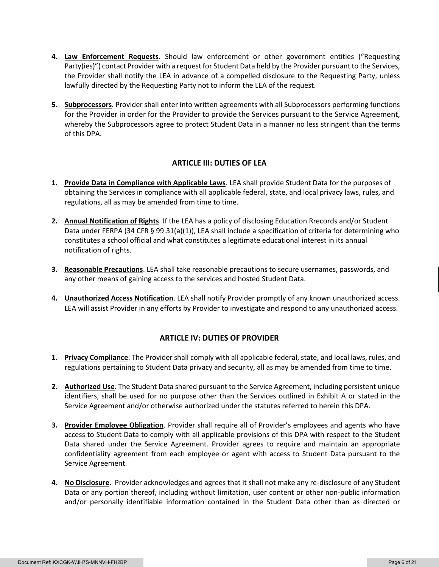- **4. Law Enforcement Requests**. Should law enforcement or other government entities ("Requesting Party(ies)") contact Provider with a request for Student Data held by the Provider pursuant to the Services, the Provider shall notify the LEA in advance of a compelled disclosure to the Requesting Party, unless lawfully directed by the Requesting Party not to inform the LEA of the request.
- **5. Subprocessors**. Provider shall enter into written agreements with all Subprocessors performing functions for the Provider in order for the Provider to provide the Services pursuant to the Service Agreement, whereby the Subprocessors agree to protect Student Data in a manner no less stringent than the terms of this DPA.

# **ARTICLE III: DUTIES OF LEA**

- **1. Provide Data in Compliance with Applicable Laws**. LEA shall provide Student Data for the purposes of obtaining the Services in compliance with all applicable federal, state, and local privacy laws, rules, and regulations, all as may be amended from time to time.
- **2. Annual Notification of Rights**. If the LEA has a policy of disclosing Education Rrecords and/or Student Data under FERPA (34 CFR § 99.31(a)(1)), LEA shall include a specification of criteria for determining who constitutes a school official and what constitutes a legitimate educational interest in its annual notification of rights.
- **3. Reasonable Precautions**. LEA shall take reasonable precautions to secure usernames, passwords, and any other means of gaining access to the services and hosted Student Data.
- **4. Unauthorized Access Notification**. LEA shall notify Provider promptly of any known unauthorized access. LEA will assist Provider in any efforts by Provider to investigate and respond to any unauthorized access.

# **ARTICLE IV: DUTIES OF PROVIDER**

- **1. Privacy Compliance**. The Provider shall comply with all applicable federal, state, and local laws, rules, and regulations pertaining to Student Data privacy and security, all as may be amended from time to time.
- **2. Authorized Use**. The Student Data shared pursuant to the Service Agreement, including persistent unique identifiers, shall be used for no purpose other than the Services outlined in Exhibit A or stated in the Service Agreement and/or otherwise authorized under the statutes referred to herein this DPA.
- **3. Provider Employee Obligation**. Provider shall require all of Provider's employees and agents who have access to Student Data to comply with all applicable provisions of this DPA with respect to the Student Data shared under the Service Agreement. Provider agrees to require and maintain an appropriate confidentiality agreement from each employee or agent with access to Student Data pursuant to the Service Agreement.
- **4. No Disclosure**. Provider acknowledges and agrees that it shall not make any re-disclosure of any Student Data or any portion thereof, including without limitation, user content or other non-public information and/or personally identifiable information contained in the Student Data other than as directed or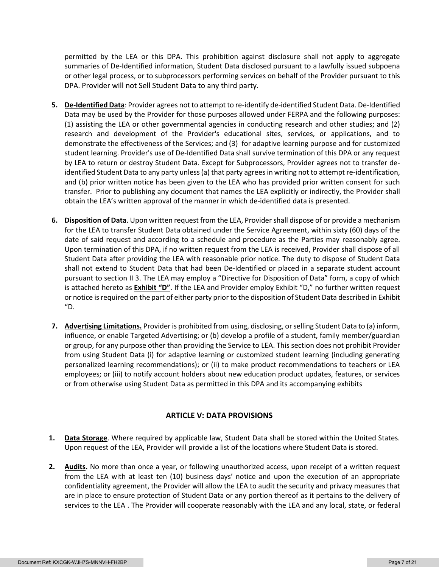permitted by the LEA or this DPA. This prohibition against disclosure shall not apply to aggregate summaries of De-Identified information, Student Data disclosed pursuant to a lawfully issued subpoena or other legal process, or to subprocessors performing services on behalf of the Provider pursuant to this DPA. Provider will not Sell Student Data to any third party.

- **5. De-Identified Data**: Provider agrees not to attempt to re-identify de-identified Student Data. De-Identified Data may be used by the Provider for those purposes allowed under FERPA and the following purposes: (1) assisting the LEA or other governmental agencies in conducting research and other studies; and (2) research and development of the Provider's educational sites, services, or applications, and to demonstrate the effectiveness of the Services; and (3) for adaptive learning purpose and for customized student learning. Provider's use of De-Identified Data shall survive termination of this DPA or any request by LEA to return or destroy Student Data. Except for Subprocessors, Provider agrees not to transfer deidentified Student Data to any party unless (a) that party agrees in writing not to attempt re-identification, and (b) prior written notice has been given to the LEA who has provided prior written consent for such transfer. Prior to publishing any document that names the LEA explicitly or indirectly, the Provider shall obtain the LEA's written approval of the manner in which de-identified data is presented.
- **6. Disposition of Data**. Upon written request from the LEA, Provider shall dispose of or provide a mechanism for the LEA to transfer Student Data obtained under the Service Agreement, within sixty (60) days of the date of said request and according to a schedule and procedure as the Parties may reasonably agree. Upon termination of this DPA, if no written request from the LEA is received, Provider shall dispose of all Student Data after providing the LEA with reasonable prior notice. The duty to dispose of Student Data shall not extend to Student Data that had been De-Identified or placed in a separate student account pursuant to section II 3. The LEA may employ a "Directive for Disposition of Data" form, a copy of which is attached hereto as **Exhibit "D"**. If the LEA and Provider employ Exhibit "D," no further written request or notice is required on the part of either party prior to the disposition of Student Data described in Exhibit "D.
- **7. Advertising Limitations.** Provider is prohibited from using, disclosing, or selling Student Data to (a) inform, influence, or enable Targeted Advertising; or (b) develop a profile of a student, family member/guardian or group, for any purpose other than providing the Service to LEA. This section does not prohibit Provider from using Student Data (i) for adaptive learning or customized student learning (including generating personalized learning recommendations); or (ii) to make product recommendations to teachers or LEA employees; or (iii) to notify account holders about new education product updates, features, or services or from otherwise using Student Data as permitted in this DPA and its accompanying exhibits

# **ARTICLE V: DATA PROVISIONS**

- **1. Data Storage**. Where required by applicable law, Student Data shall be stored within the United States. Upon request of the LEA, Provider will provide a list of the locations where Student Data is stored.
- **2. Audits.** No more than once a year, or following unauthorized access, upon receipt of a written request from the LEA with at least ten (10) business days' notice and upon the execution of an appropriate confidentiality agreement, the Provider will allow the LEA to audit the security and privacy measures that are in place to ensure protection of Student Data or any portion thereof as it pertains to the delivery of services to the LEA . The Provider will cooperate reasonably with the LEA and any local, state, or federal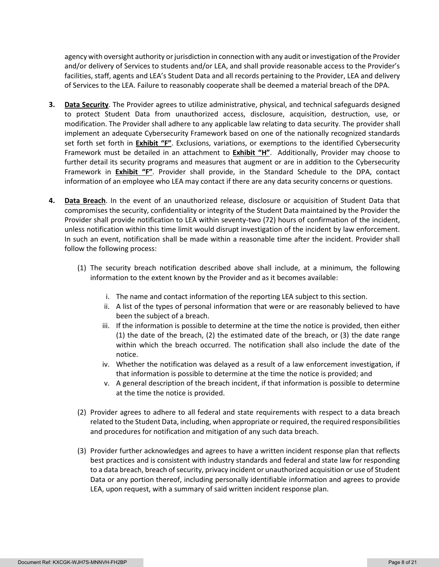agency with oversight authority or jurisdiction in connection with any audit or investigation of the Provider and/or delivery of Services to students and/or LEA, and shall provide reasonable access to the Provider's facilities, staff, agents and LEA's Student Data and all records pertaining to the Provider, LEA and delivery of Services to the LEA. Failure to reasonably cooperate shall be deemed a material breach of the DPA.

- **3. Data Security**. The Provider agrees to utilize administrative, physical, and technical safeguards designed to protect Student Data from unauthorized access, disclosure, acquisition, destruction, use, or modification. The Provider shall adhere to any applicable law relating to data security. The provider shall implement an adequate Cybersecurity Framework based on one of the nationally recognized standards set forth set forth in **Exhibit "F"**. Exclusions, variations, or exemptions to the identified Cybersecurity Framework must be detailed in an attachment to **Exhibit "H"**. Additionally, Provider may choose to further detail its security programs and measures that augment or are in addition to the Cybersecurity Framework in **Exhibit "F"**. Provider shall provide, in the Standard Schedule to the DPA, contact information of an employee who LEA may contact if there are any data security concerns or questions.
- **4. Data Breach**. In the event of an unauthorized release, disclosure or acquisition of Student Data that compromises the security, confidentiality or integrity of the Student Data maintained by the Provider the Provider shall provide notification to LEA within seventy-two (72) hours of confirmation of the incident, unless notification within this time limit would disrupt investigation of the incident by law enforcement. In such an event, notification shall be made within a reasonable time after the incident. Provider shall follow the following process:
	- (1) The security breach notification described above shall include, at a minimum, the following information to the extent known by the Provider and as it becomes available:
		- i. The name and contact information of the reporting LEA subject to this section.
		- ii. A list of the types of personal information that were or are reasonably believed to have been the subject of a breach.
		- iii. If the information is possible to determine at the time the notice is provided, then either (1) the date of the breach, (2) the estimated date of the breach, or (3) the date range within which the breach occurred. The notification shall also include the date of the notice.
		- iv. Whether the notification was delayed as a result of a law enforcement investigation, if that information is possible to determine at the time the notice is provided; and
		- v. A general description of the breach incident, if that information is possible to determine at the time the notice is provided.
	- (2) Provider agrees to adhere to all federal and state requirements with respect to a data breach related to the Student Data, including, when appropriate or required, the required responsibilities and procedures for notification and mitigation of any such data breach.
	- (3) Provider further acknowledges and agrees to have a written incident response plan that reflects best practices and is consistent with industry standards and federal and state law for responding to a data breach, breach of security, privacy incident or unauthorized acquisition or use of Student Data or any portion thereof, including personally identifiable information and agrees to provide LEA, upon request, with a summary of said written incident response plan.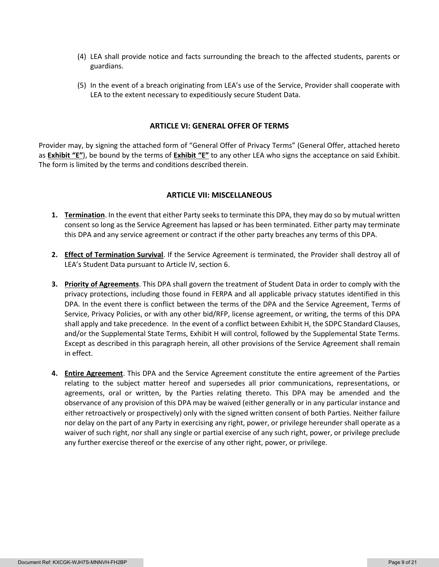- (4) LEA shall provide notice and facts surrounding the breach to the affected students, parents or guardians.
- (5) In the event of a breach originating from LEA's use of the Service, Provider shall cooperate with LEA to the extent necessary to expeditiously secure Student Data.

### **ARTICLE VI: GENERAL OFFER OF TERMS**

Provider may, by signing the attached form of "General Offer of Privacy Terms" (General Offer, attached hereto as **Exhibit "E"**), be bound by the terms of **Exhibit "E"** to any other LEA who signs the acceptance on said Exhibit. The form is limited by the terms and conditions described therein.

#### **ARTICLE VII: MISCELLANEOUS**

- **1. Termination**. In the event that either Party seeks to terminate this DPA, they may do so by mutual written consent so long as the Service Agreement has lapsed or has been terminated. Either party may terminate this DPA and any service agreement or contract if the other party breaches any terms of this DPA.
- **2. Effect of Termination Survival**. If the Service Agreement is terminated, the Provider shall destroy all of LEA's Student Data pursuant to Article IV, section 6.
- **3. Priority of Agreements**. This DPA shall govern the treatment of Student Data in order to comply with the privacy protections, including those found in FERPA and all applicable privacy statutes identified in this DPA. In the event there is conflict between the terms of the DPA and the Service Agreement, Terms of Service, Privacy Policies, or with any other bid/RFP, license agreement, or writing, the terms of this DPA shall apply and take precedence. In the event of a conflict between Exhibit H, the SDPC Standard Clauses, and/or the Supplemental State Terms, Exhibit H will control, followed by the Supplemental State Terms. Except as described in this paragraph herein, all other provisions of the Service Agreement shall remain in effect.
- **4. Entire Agreement**. This DPA and the Service Agreement constitute the entire agreement of the Parties relating to the subject matter hereof and supersedes all prior communications, representations, or agreements, oral or written, by the Parties relating thereto. This DPA may be amended and the observance of any provision of this DPA may be waived (either generally or in any particular instance and either retroactively or prospectively) only with the signed written consent of both Parties. Neither failure nor delay on the part of any Party in exercising any right, power, or privilege hereunder shall operate as a waiver of such right, nor shall any single or partial exercise of any such right, power, or privilege preclude any further exercise thereof or the exercise of any other right, power, or privilege.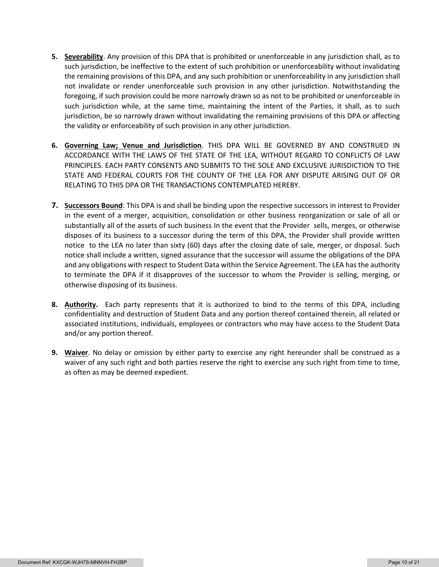- **5. Severability**. Any provision of this DPA that is prohibited or unenforceable in any jurisdiction shall, as to such jurisdiction, be ineffective to the extent of such prohibition or unenforceability without invalidating the remaining provisions of this DPA, and any such prohibition or unenforceability in any jurisdiction shall not invalidate or render unenforceable such provision in any other jurisdiction. Notwithstanding the foregoing, if such provision could be more narrowly drawn so as not to be prohibited or unenforceable in such jurisdiction while, at the same time, maintaining the intent of the Parties, it shall, as to such jurisdiction, be so narrowly drawn without invalidating the remaining provisions of this DPA or affecting the validity or enforceability of such provision in any other jurisdiction.
- **6. Governing Law; Venue and Jurisdiction**. THIS DPA WILL BE GOVERNED BY AND CONSTRUED IN ACCORDANCE WITH THE LAWS OF THE STATE OF THE LEA, WITHOUT REGARD TO CONFLICTS OF LAW PRINCIPLES. EACH PARTY CONSENTS AND SUBMITS TO THE SOLE AND EXCLUSIVE JURISDICTION TO THE STATE AND FEDERAL COURTS FOR THE COUNTY OF THE LEA FOR ANY DISPUTE ARISING OUT OF OR RELATING TO THIS DPA OR THE TRANSACTIONS CONTEMPLATED HEREBY.
- **7. Successors Bound**: This DPA is and shall be binding upon the respective successors in interest to Provider in the event of a merger, acquisition, consolidation or other business reorganization or sale of all or substantially all of the assets of such business In the event that the Provider sells, merges, or otherwise disposes of its business to a successor during the term of this DPA, the Provider shall provide written notice to the LEA no later than sixty (60) days after the closing date of sale, merger, or disposal. Such notice shall include a written, signed assurance that the successor will assume the obligations of the DPA and any obligations with respect to Student Data within the Service Agreement. The LEA has the authority to terminate the DPA if it disapproves of the successor to whom the Provider is selling, merging, or otherwise disposing of its business.
- **8. Authority.** Each party represents that it is authorized to bind to the terms of this DPA, including confidentiality and destruction of Student Data and any portion thereof contained therein, all related or associated institutions, individuals, employees or contractors who may have access to the Student Data and/or any portion thereof.
- **9. Waiver**. No delay or omission by either party to exercise any right hereunder shall be construed as a waiver of any such right and both parties reserve the right to exercise any such right from time to time, as often as may be deemed expedient.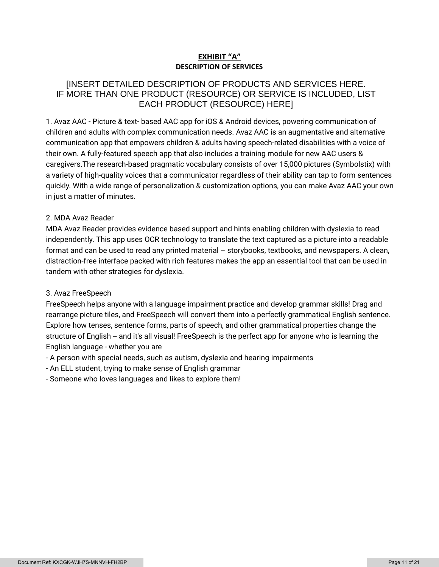# **EXHIBIT "A" DESCRIPTION OF SERVICES**

# [INSERT DETAILED DESCRIPTION OF PRODUCTS AND SERVICES HERE. IF MORE THAN ONE PRODUCT (RESOURCE) OR SERVICE IS INCLUDED, LIST EACH PRODUCT (RESOURCE) HERE]

1. Avaz AAC - Picture & text- based AAC app for iOS & Android devices, powering communication of children and adults with complex communication needs. Avaz AAC is an augmentative and alternative communication app that empowers children & adults having speech-related disabilities with a voice of their own. A fully-featured speech app that also includes a training module for new AAC users & caregivers.The research-based pragmatic vocabulary consists of over 15,000 pictures (Symbolstix) with a variety of high-quality voices that a communicator regardless of their ability can tap to form sentences quickly. With a wide range of personalization & customization options, you can make Avaz AAC your own in just a matter of minutes.

### 2. MDA Avaz Reader

MDA Avaz Reader provides evidence based support and hints enabling children with dyslexia to read independently. This app uses OCR technology to translate the text captured as a picture into a readable format and can be used to read any printed material – storybooks, textbooks, and newspapers. A clean, distraction-free interface packed with rich features makes the app an essential tool that can be used in tandem with other strategies for dyslexia.

# 3. Avaz FreeSpeech

FreeSpeech helps anyone with a language impairment practice and develop grammar skills! Drag and rearrange picture tiles, and FreeSpeech will convert them into a perfectly grammatical English sentence. Explore how tenses, sentence forms, parts of speech, and other grammatical properties change the structure of English -- and it's all visual! FreeSpeech is the perfect app for anyone who is learning the English language - whether you are

- A person with special needs, such as autism, dyslexia and hearing impairments
- An ELL student, trying to make sense of English grammar
- Someone who loves languages and likes to explore them!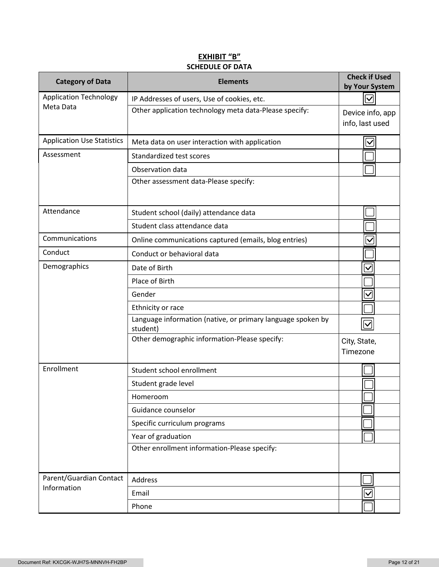# **EXHIBIT "B" SCHEDULE OF DATA**

| <b>Category of Data</b>           | <b>Elements</b>                                                         | <b>Check if Used</b><br>by Your System |
|-----------------------------------|-------------------------------------------------------------------------|----------------------------------------|
| <b>Application Technology</b>     | IP Addresses of users, Use of cookies, etc.                             | $\overline{\vee}$                      |
| Meta Data                         | Other application technology meta data-Please specify:                  | Device info, app                       |
|                                   |                                                                         | info, last used                        |
| <b>Application Use Statistics</b> | Meta data on user interaction with application                          | $\boldsymbol{\mathsf{\sim}}$           |
| Assessment                        | Standardized test scores                                                |                                        |
|                                   | Observation data                                                        |                                        |
|                                   | Other assessment data-Please specify:                                   |                                        |
| Attendance                        | Student school (daily) attendance data                                  |                                        |
|                                   | Student class attendance data                                           |                                        |
| Communications                    | Online communications captured (emails, blog entries)                   | $\checkmark$                           |
| Conduct                           | Conduct or behavioral data                                              |                                        |
| Demographics                      | Date of Birth                                                           | $\checkmark$                           |
|                                   | Place of Birth                                                          |                                        |
|                                   | Gender                                                                  | $\checkmark$                           |
|                                   | Ethnicity or race                                                       |                                        |
|                                   | Language information (native, or primary language spoken by<br>student) | $ \bm{\checkmark} $                    |
|                                   | Other demographic information-Please specify:                           | City, State,<br>Timezone               |
| Enrollment                        | Student school enrollment                                               |                                        |
|                                   | Student grade level                                                     |                                        |
|                                   | Homeroom                                                                |                                        |
|                                   | Guidance counselor                                                      |                                        |
|                                   | Specific curriculum programs                                            |                                        |
|                                   | Year of graduation                                                      |                                        |
|                                   | Other enrollment information-Please specify:                            |                                        |
| Parent/Guardian Contact           | Address                                                                 |                                        |
| Information                       | Email                                                                   | $\checkmark$                           |
|                                   | Phone                                                                   |                                        |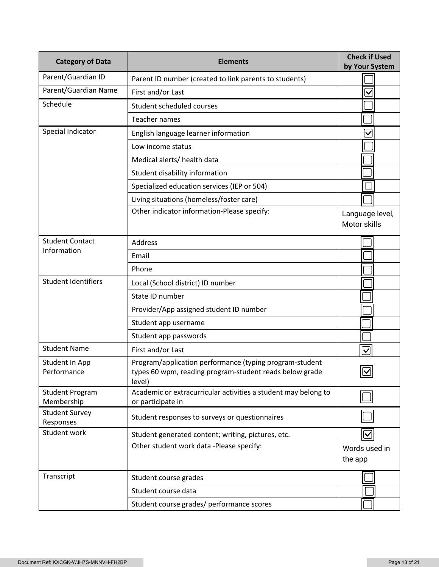| <b>Category of Data</b>              | <b>Elements</b>                                                                                                              | <b>Check if Used</b><br>by Your System |
|--------------------------------------|------------------------------------------------------------------------------------------------------------------------------|----------------------------------------|
| Parent/Guardian ID                   | Parent ID number (created to link parents to students)                                                                       |                                        |
| Parent/Guardian Name                 | First and/or Last                                                                                                            | $\checkmark$                           |
| Schedule                             | Student scheduled courses                                                                                                    |                                        |
|                                      | Teacher names                                                                                                                |                                        |
| Special Indicator                    | English language learner information                                                                                         | $\checkmark$                           |
|                                      | Low income status                                                                                                            |                                        |
|                                      | Medical alerts/ health data                                                                                                  |                                        |
|                                      | Student disability information                                                                                               |                                        |
|                                      | Specialized education services (IEP or 504)                                                                                  |                                        |
|                                      | Living situations (homeless/foster care)                                                                                     |                                        |
|                                      | Other indicator information-Please specify:                                                                                  | Language level,<br>Motor skills        |
| <b>Student Contact</b>               | <b>Address</b>                                                                                                               |                                        |
| Information                          | Email                                                                                                                        |                                        |
|                                      | Phone                                                                                                                        |                                        |
| <b>Student Identifiers</b>           | Local (School district) ID number                                                                                            |                                        |
|                                      | State ID number                                                                                                              |                                        |
|                                      | Provider/App assigned student ID number                                                                                      |                                        |
|                                      | Student app username                                                                                                         |                                        |
|                                      | Student app passwords                                                                                                        |                                        |
| <b>Student Name</b>                  | First and/or Last                                                                                                            | $\bm \nabla$                           |
| Student In App<br>Performance        | Program/application performance (typing program-student<br>types 60 wpm, reading program-student reads below grade<br>level) | $\boxed{\textcolor{blue}{\mathbb{Z}}}$ |
| <b>Student Program</b><br>Membership | Academic or extracurricular activities a student may belong to<br>or participate in                                          |                                        |
| <b>Student Survey</b><br>Responses   | Student responses to surveys or questionnaires                                                                               |                                        |
| Student work                         | Student generated content; writing, pictures, etc.                                                                           | $\bm{\triangledown}$                   |
|                                      | Other student work data -Please specify:                                                                                     | Words used in<br>the app               |
| Transcript                           | Student course grades                                                                                                        |                                        |
|                                      | Student course data                                                                                                          |                                        |
|                                      | Student course grades/ performance scores                                                                                    |                                        |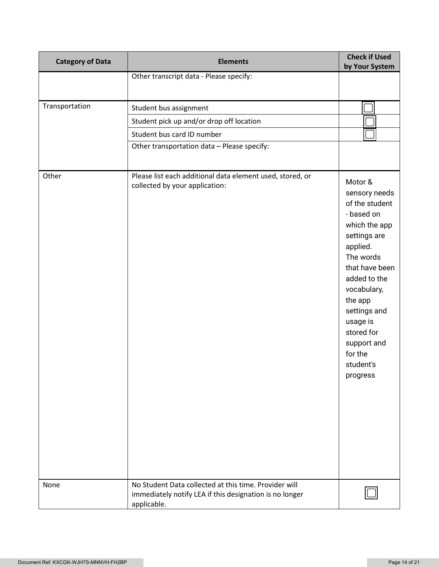| <b>Category of Data</b> | <b>Elements</b>                                                                                                                 | <b>Check if Used</b><br>by Your System                                                                                                                                                                                                                                      |
|-------------------------|---------------------------------------------------------------------------------------------------------------------------------|-----------------------------------------------------------------------------------------------------------------------------------------------------------------------------------------------------------------------------------------------------------------------------|
|                         | Other transcript data - Please specify:                                                                                         |                                                                                                                                                                                                                                                                             |
|                         |                                                                                                                                 |                                                                                                                                                                                                                                                                             |
| Transportation          | Student bus assignment                                                                                                          |                                                                                                                                                                                                                                                                             |
|                         | Student pick up and/or drop off location                                                                                        |                                                                                                                                                                                                                                                                             |
|                         | Student bus card ID number                                                                                                      |                                                                                                                                                                                                                                                                             |
|                         | Other transportation data - Please specify:                                                                                     |                                                                                                                                                                                                                                                                             |
|                         |                                                                                                                                 |                                                                                                                                                                                                                                                                             |
| Other                   | Please list each additional data element used, stored, or<br>collected by your application:                                     | Motor &<br>sensory needs<br>of the student<br>- based on<br>which the app<br>settings are<br>applied.<br>The words<br>that have been<br>added to the<br>vocabulary,<br>the app<br>settings and<br>usage is<br>stored for<br>support and<br>for the<br>student's<br>progress |
| None                    | No Student Data collected at this time. Provider will<br>immediately notify LEA if this designation is no longer<br>applicable. |                                                                                                                                                                                                                                                                             |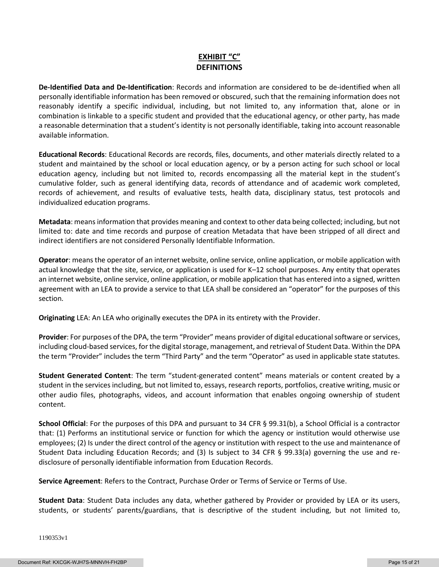# **EXHIBIT "C" DEFINITIONS**

**De-Identified Data and De-Identification**: Records and information are considered to be de-identified when all personally identifiable information has been removed or obscured, such that the remaining information does not reasonably identify a specific individual, including, but not limited to, any information that, alone or in combination is linkable to a specific student and provided that the educational agency, or other party, has made a reasonable determination that a student's identity is not personally identifiable, taking into account reasonable available information.

**Educational Records**: Educational Records are records, files, documents, and other materials directly related to a student and maintained by the school or local education agency, or by a person acting for such school or local education agency, including but not limited to, records encompassing all the material kept in the student's cumulative folder, such as general identifying data, records of attendance and of academic work completed, records of achievement, and results of evaluative tests, health data, disciplinary status, test protocols and individualized education programs.

**Metadata**: means information that provides meaning and context to other data being collected; including, but not limited to: date and time records and purpose of creation Metadata that have been stripped of all direct and indirect identifiers are not considered Personally Identifiable Information.

**Operator**: means the operator of an internet website, online service, online application, or mobile application with actual knowledge that the site, service, or application is used for K–12 school purposes. Any entity that operates an internet website, online service, online application, or mobile application that has entered into a signed, written agreement with an LEA to provide a service to that LEA shall be considered an "operator" for the purposes of this section.

**Originating** LEA: An LEA who originally executes the DPA in its entirety with the Provider.

**Provider**: For purposes of the DPA, the term "Provider" means provider of digital educational software or services, including cloud-based services, for the digital storage, management, and retrieval of Student Data. Within the DPA the term "Provider" includes the term "Third Party" and the term "Operator" as used in applicable state statutes.

**Student Generated Content**: The term "student-generated content" means materials or content created by a student in the services including, but not limited to, essays, research reports, portfolios, creative writing, music or other audio files, photographs, videos, and account information that enables ongoing ownership of student content.

**School Official**: For the purposes of this DPA and pursuant to 34 CFR § 99.31(b), a School Official is a contractor that: (1) Performs an institutional service or function for which the agency or institution would otherwise use employees; (2) Is under the direct control of the agency or institution with respect to the use and maintenance of Student Data including Education Records; and (3) Is subject to 34 CFR § 99.33(a) governing the use and redisclosure of personally identifiable information from Education Records.

**Service Agreement**: Refers to the Contract, Purchase Order or Terms of Service or Terms of Use.

**Student Data**: Student Data includes any data, whether gathered by Provider or provided by LEA or its users, students, or students' parents/guardians, that is descriptive of the student including, but not limited to,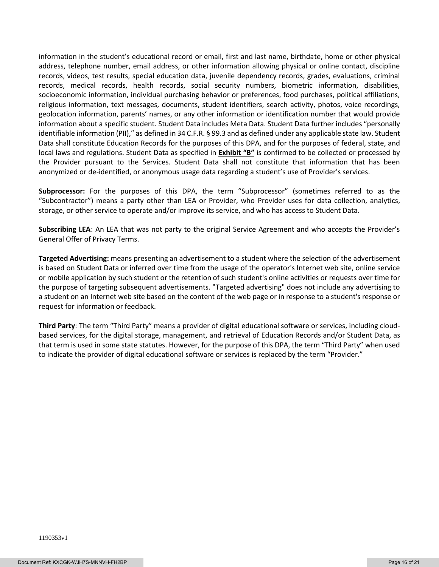information in the student's educational record or email, first and last name, birthdate, home or other physical address, telephone number, email address, or other information allowing physical or online contact, discipline records, videos, test results, special education data, juvenile dependency records, grades, evaluations, criminal records, medical records, health records, social security numbers, biometric information, disabilities, socioeconomic information, individual purchasing behavior or preferences, food purchases, political affiliations, religious information, text messages, documents, student identifiers, search activity, photos, voice recordings, geolocation information, parents' names, or any other information or identification number that would provide information about a specific student. Student Data includes Meta Data. Student Data further includes "personally identifiable information (PII)," as defined in 34 C.F.R. § 99.3 and as defined under any applicable state law. Student Data shall constitute Education Records for the purposes of this DPA, and for the purposes of federal, state, and local laws and regulations. Student Data as specified in **Exhibit "B"** is confirmed to be collected or processed by the Provider pursuant to the Services. Student Data shall not constitute that information that has been anonymized or de-identified, or anonymous usage data regarding a student's use of Provider's services.

**Subprocessor:** For the purposes of this DPA, the term "Subprocessor" (sometimes referred to as the "Subcontractor") means a party other than LEA or Provider, who Provider uses for data collection, analytics, storage, or other service to operate and/or improve its service, and who has access to Student Data.

**Subscribing LEA**: An LEA that was not party to the original Service Agreement and who accepts the Provider's General Offer of Privacy Terms.

**Targeted Advertising:** means presenting an advertisement to a student where the selection of the advertisement is based on Student Data or inferred over time from the usage of the operator's Internet web site, online service or mobile application by such student or the retention of such student's online activities or requests over time for the purpose of targeting subsequent advertisements. "Targeted advertising" does not include any advertising to a student on an Internet web site based on the content of the web page or in response to a student's response or request for information or feedback.

**Third Party**: The term "Third Party" means a provider of digital educational software or services, including cloudbased services, for the digital storage, management, and retrieval of Education Records and/or Student Data, as that term is used in some state statutes. However, for the purpose of this DPA, the term "Third Party" when used to indicate the provider of digital educational software or services is replaced by the term "Provider."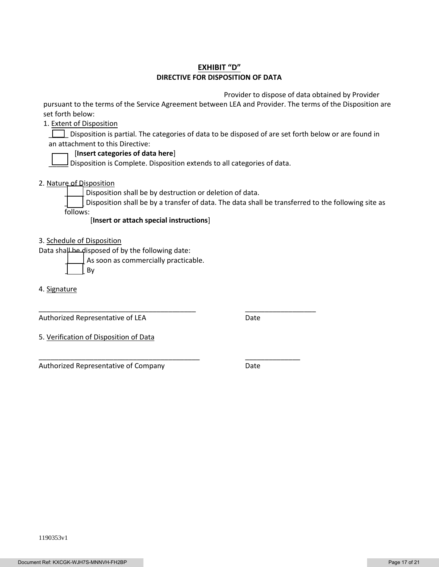# **EXHIBIT "D" DIRECTIVE FOR DISPOSITION OF DATA**

Provider to dispose of data obtained by Provider

pursuant to the terms of the Service Agreement between LEA and Provider. The terms of the Disposition are set forth below:

1. Extent of Disposition

Disposition is partial. The categories of data to be disposed of are set forth below or are found in an attachment to this Directive:

### [**Insert categories of data here**]

 $\Box$  Disposition is Complete. Disposition extends to all categories of data.

2. Nature of Disposition

Disposition shall be by destruction or deletion of data.

\_\_\_\_\_\_\_\_\_\_\_\_\_\_\_\_\_\_\_\_\_\_\_\_\_\_\_\_\_\_\_\_\_\_\_\_\_\_\_\_ \_\_\_\_\_\_\_\_\_\_\_\_\_\_\_\_\_\_

\_\_\_\_\_\_\_\_\_\_\_\_\_\_\_\_\_\_\_\_\_\_\_\_\_\_\_\_\_\_\_\_\_\_\_\_\_\_\_\_\_ \_\_\_\_\_\_\_\_\_\_\_\_\_\_

Disposition shall be by a transfer of data. The data shall be transferred to the following site as follows:

[**Insert or attach special instructions**]

3. Schedule of Disposition

Data shall be disposed of by the following date:

As soon as commercially practicable.

\_\_\_\_\_ By

4. Signature

Authorized Representative of LEA Date

5. Verification of Disposition of Data

Authorized Representative of Company **Date**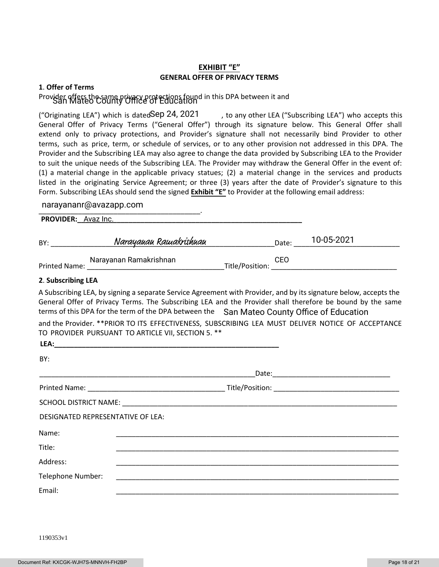## **EXHIBIT "E" GENERAL OFFER OF PRIVACY TERMS**

#### **1**. **Offer of Terms**

# Provider offers the same privacy protections found in this DPA between it and<br>San Mateo County Office of Education

, to any other LEA ("Subscribing LEA") who accepts this General Offer of Privacy Terms ("General Offer") through its signature below. This General Offer shall extend only to privacy protections, and Provider's signature shall not necessarily bind Provider to other terms, such as price, term, or schedule of services, or to any other provision not addressed in this DPA. The Provider and the Subscribing LEA may also agree to change the data provided by Subscribing LEA to the Provider to suit the unique needs of the Subscribing LEA. The Provider may withdraw the General Offer in the event of: (1) a material change in the applicable privacy statues; (2) a material change in the services and products listed in the originating Service Agreement; or three (3) years after the date of Provider's signature to this Form. Subscribing LEAs should send the signed **Exhibit "E"** to Provider at the following email address: ("Originating LEA") which is datedSep 24, 2021

# \_\_\_\_\_\_\_\_\_\_\_\_\_\_\_\_\_\_\_\_\_\_\_\_\_\_\_\_\_\_\_\_\_\_\_\_\_\_\_\_\_. narayananr@avazapp.com

| <b>PROVIDER:</b> Avaz Inc. |                        |                 |       |            |
|----------------------------|------------------------|-----------------|-------|------------|
| BY:                        | Narayauau Rawakrishuau |                 | Date: | 10-05-2021 |
| <b>Printed Name:</b>       | Narayanan Ramakrishnan | Title/Position: | CEO   |            |

#### **2**. **Subscribing LEA**

A Subscribing LEA, by signing a separate Service Agreement with Provider, and by its signature below, accepts the General Offer of Privacy Terms. The Subscribing LEA and the Provider shall therefore be bound by the same terms of this DPA for the term of the DPA between the San Mateo County Office of Education

and the Provider. \*\*PRIOR TO ITS EFFECTIVENESS, SUBSCRIBING LEA MUST DELIVER NOTICE OF ACCEPTANCE TO PROVIDER PURSUANT TO ARTICLE VII, SECTION 5. \*\*

| LEA:                              |                                                                                                                      |  |
|-----------------------------------|----------------------------------------------------------------------------------------------------------------------|--|
| BY:                               |                                                                                                                      |  |
|                                   |                                                                                                                      |  |
|                                   |                                                                                                                      |  |
|                                   |                                                                                                                      |  |
| DESIGNATED REPRESENTATIVE OF LEA: |                                                                                                                      |  |
| Name:                             | <u> 1980 - John Stein, Amerikaansk politiker († 1980)</u>                                                            |  |
| Title:                            |                                                                                                                      |  |
| Address:                          |                                                                                                                      |  |
| Telephone Number:                 | <u> 1980 - Jan James James James James James James James James James James James James James James James James J</u> |  |
| Email:                            |                                                                                                                      |  |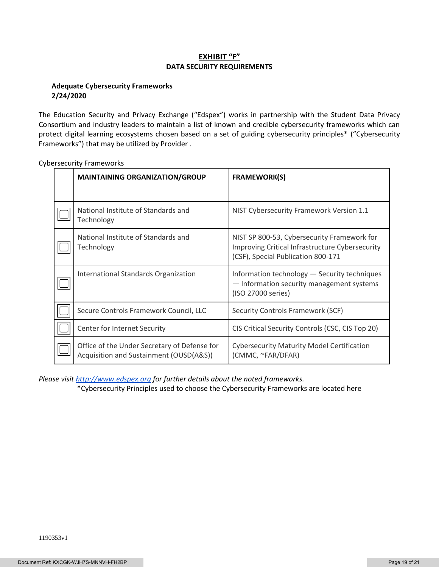# **EXHIBIT "F" DATA SECURITY REQUIREMENTS**

### **Adequate Cybersecurity Frameworks 2/24/2020**

The Education Security and Privacy Exchange ("Edspex") works in partnership with the Student Data Privacy Consortium and industry leaders to maintain a list of known and credible cybersecurity frameworks which can protect digital learning ecosystems chosen based on a set of guiding cybersecurity principles\* ("Cybersecurity Frameworks") that may be utilized by Provider .

| <b>MAINTAINING ORGANIZATION/GROUP</b>                                                   | <b>FRAMEWORK(S)</b>                                                                                                                  |  |
|-----------------------------------------------------------------------------------------|--------------------------------------------------------------------------------------------------------------------------------------|--|
|                                                                                         |                                                                                                                                      |  |
| National Institute of Standards and<br>Technology                                       | NIST Cybersecurity Framework Version 1.1                                                                                             |  |
| National Institute of Standards and<br>Technology                                       | NIST SP 800-53, Cybersecurity Framework for<br>Improving Critical Infrastructure Cybersecurity<br>(CSF), Special Publication 800-171 |  |
| International Standards Organization                                                    | Information technology - Security techniques<br>- Information security management systems<br>(ISO 27000 series)                      |  |
| Secure Controls Framework Council, LLC                                                  | Security Controls Framework (SCF)                                                                                                    |  |
| Center for Internet Security                                                            | CIS Critical Security Controls (CSC, CIS Top 20)                                                                                     |  |
| Office of the Under Secretary of Defense for<br>Acquisition and Sustainment (OUSD(A&S)) | <b>Cybersecurity Maturity Model Certification</b><br>(CMMC, ~FAR/DFAR)                                                               |  |

Cybersecurity Frameworks

*Please visi[t http://www.edspex.org](http://www.edspex.org/) for further details about the noted frameworks.*

\*Cybersecurity Principles used to choose the Cybersecurity Frameworks are located here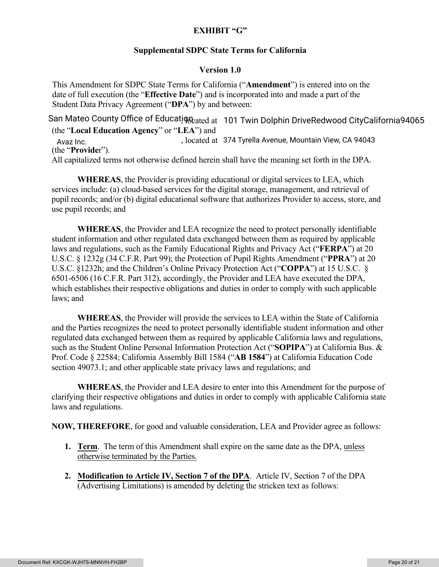# **EXHIBIT "G"**

# **Supplemental SDPC State Terms for California**

# **Version 1.0**

This Amendment for SDPC State Terms for California ("**Amendment**") is entered into on the date of full execution (the "**Effective Date**") and is incorporated into and made a part of the Student Data Privacy Agreement ("**DPA**") by and between:

San Mateo County Office of Educati़ $q_{0}$ <sub>cated at 101 Twin Dolphin DriveRedwood CityCalifornia94065</sub> (the "**Local Education Agency**" or "**LEA**") and , located at Avaz Inc. 374 Tyrella Avenue, Mountain View, CA 94043 (the "**Provide**r"). All capitalized terms not otherwise defined herein shall have the meaning set forth in the DPA.

**WHEREAS**, the Provider is providing educational or digital services to LEA, which services include: (a) cloud-based services for the digital storage, management, and retrieval of pupil records; and/or (b) digital educational software that authorizes Provider to access, store, and use pupil records; and

**WHEREAS**, the Provider and LEA recognize the need to protect personally identifiable student information and other regulated data exchanged between them as required by applicable laws and regulations, such as the Family Educational Rights and Privacy Act ("**FERPA**") at 20 U.S.C. § 1232g (34 C.F.R. Part 99); the Protection of Pupil Rights Amendment ("**PPRA**") at 20 U.S.C. §1232h; and the Children's Online Privacy Protection Act ("**COPPA**") at 15 U.S.C. § 6501-6506 (16 C.F.R. Part 312), accordingly, the Provider and LEA have executed the DPA, which establishes their respective obligations and duties in order to comply with such applicable laws; and

**WHEREAS**, the Provider will provide the services to LEA within the State of California and the Parties recognizes the need to protect personally identifiable student information and other regulated data exchanged between them as required by applicable California laws and regulations, such as the Student Online Personal Information Protection Act ("**SOPIPA**") at California Bus. & Prof. Code § 22584; California Assembly Bill 1584 ("**AB 1584**") at California Education Code section 49073.1; and other applicable state privacy laws and regulations; and

**WHEREAS**, the Provider and LEA desire to enter into this Amendment for the purpose of clarifying their respective obligations and duties in order to comply with applicable California state laws and regulations.

**NOW, THEREFORE**, for good and valuable consideration, LEA and Provider agree as follows:

- **1. Term**. The term of this Amendment shall expire on the same date as the DPA, unless otherwise terminated by the Parties.
- **2. Modification to Article IV, Section 7 of the DPA**. Article IV, Section 7 of the DPA (Advertising Limitations) is amended by deleting the stricken text as follows: